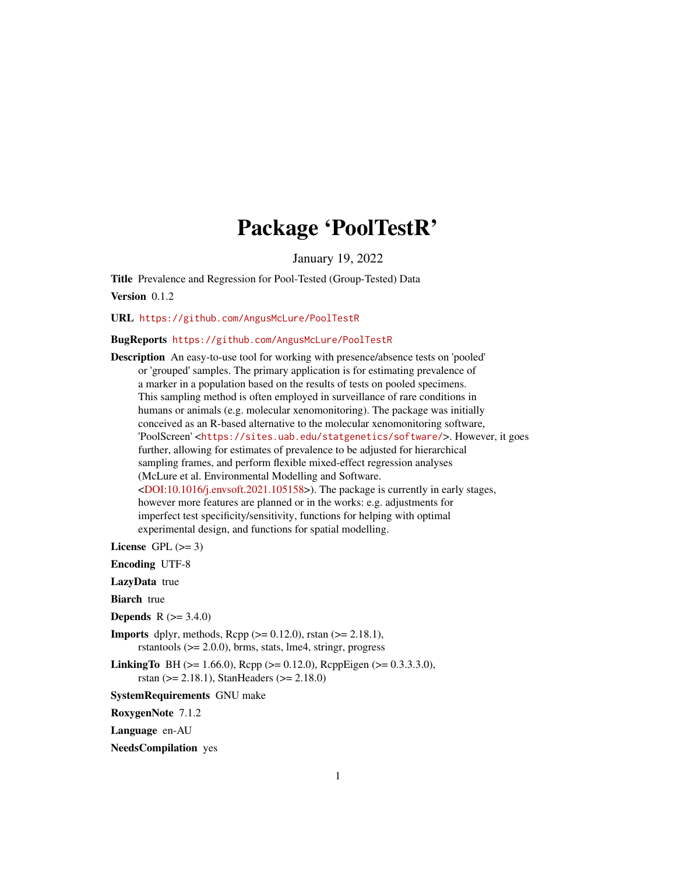## Package 'PoolTestR'

January 19, 2022

<span id="page-0-0"></span>Title Prevalence and Regression for Pool-Tested (Group-Tested) Data

Version 0.1.2

URL <https://github.com/AngusMcLure/PoolTestR>

### BugReports <https://github.com/AngusMcLure/PoolTestR>

Description An easy-to-use tool for working with presence/absence tests on 'pooled' or 'grouped' samples. The primary application is for estimating prevalence of a marker in a population based on the results of tests on pooled specimens. This sampling method is often employed in surveillance of rare conditions in humans or animals (e.g. molecular xenomonitoring). The package was initially conceived as an R-based alternative to the molecular xenomonitoring software, 'PoolScreen' <<https://sites.uab.edu/statgenetics/software/>>. However, it goes further, allowing for estimates of prevalence to be adjusted for hierarchical sampling frames, and perform flexible mixed-effect regression analyses (McLure et al. Environmental Modelling and Software.  $\langle$ DOI:10.1016/j.envsoft.2021.105158>). The package is currently in early stages, however more features are planned or in the works: e.g. adjustments for imperfect test specificity/sensitivity, functions for helping with optimal experimental design, and functions for spatial modelling.

License GPL  $(>= 3)$ 

Encoding UTF-8

LazyData true

**Biarch** true

- **Depends** R  $(>= 3.4.0)$
- **Imports** dplyr, methods, Rcpp  $(>= 0.12.0)$ , rstan  $(>= 2.18.1)$ , rstantools (>= 2.0.0), brms, stats, lme4, stringr, progress
- **LinkingTo** BH ( $> = 1.66.0$ ), Rcpp ( $> = 0.12.0$ ), RcppEigen ( $> = 0.3.3.3.0$ ), rstan (>= 2.18.1), StanHeaders (>= 2.18.0)
- SystemRequirements GNU make

RoxygenNote 7.1.2

Language en-AU

NeedsCompilation yes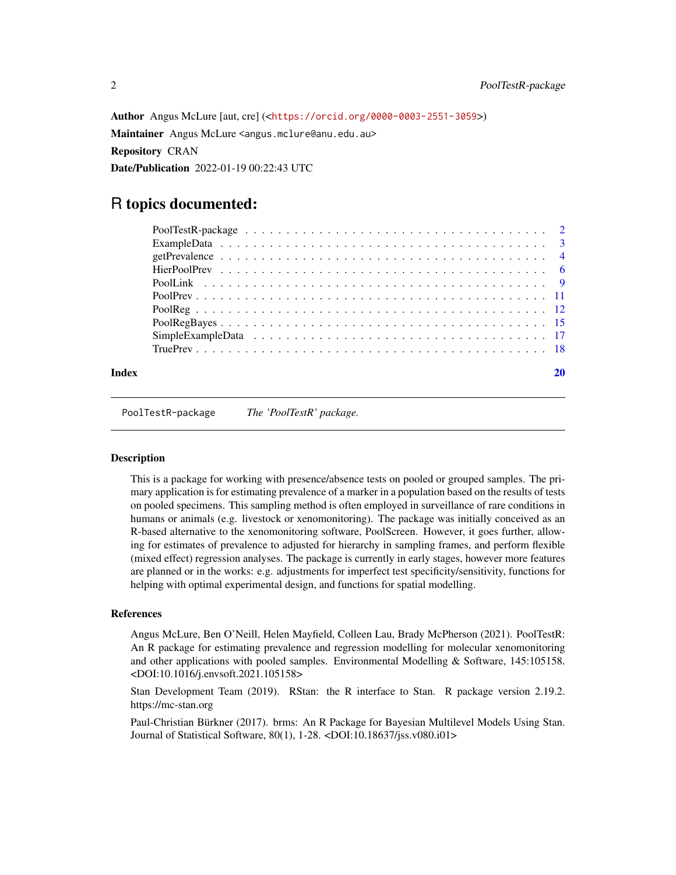Author Angus McLure [aut, cre] (<<https://orcid.org/0000-0003-2551-3059>>) Maintainer Angus McLure <angus.mclure@anu.edu.au> Repository CRAN Date/Publication 2022-01-19 00:22:43 UTC

## R topics documented:

| Index |  |
|-------|--|

PoolTestR-package *The 'PoolTestR' package.*

### **Description**

This is a package for working with presence/absence tests on pooled or grouped samples. The primary application is for estimating prevalence of a marker in a population based on the results of tests on pooled specimens. This sampling method is often employed in surveillance of rare conditions in humans or animals (e.g. livestock or xenomonitoring). The package was initially conceived as an R-based alternative to the xenomonitoring software, PoolScreen. However, it goes further, allowing for estimates of prevalence to adjusted for hierarchy in sampling frames, and perform flexible (mixed effect) regression analyses. The package is currently in early stages, however more features are planned or in the works: e.g. adjustments for imperfect test specificity/sensitivity, functions for helping with optimal experimental design, and functions for spatial modelling.

### References

Angus McLure, Ben O'Neill, Helen Mayfield, Colleen Lau, Brady McPherson (2021). PoolTestR: An R package for estimating prevalence and regression modelling for molecular xenomonitoring and other applications with pooled samples. Environmental Modelling & Software, 145:105158. <DOI:10.1016/j.envsoft.2021.105158>

Stan Development Team (2019). RStan: the R interface to Stan. R package version 2.19.2. https://mc-stan.org

Paul-Christian Bürkner (2017). brms: An R Package for Bayesian Multilevel Models Using Stan. Journal of Statistical Software, 80(1), 1-28. <DOI:10.18637/jss.v080.i01>

<span id="page-1-0"></span>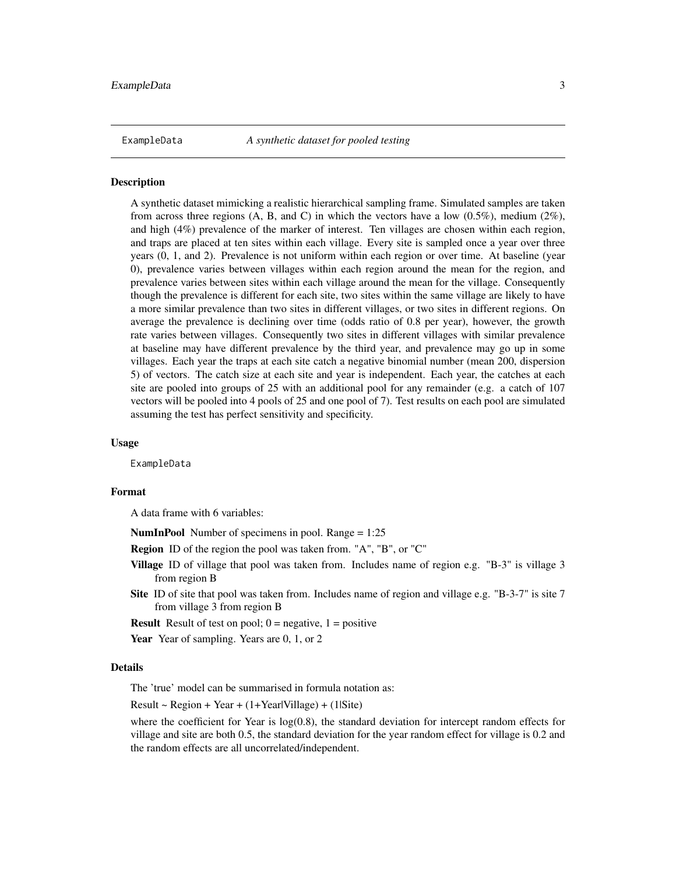<span id="page-2-0"></span>

#### Description

A synthetic dataset mimicking a realistic hierarchical sampling frame. Simulated samples are taken from across three regions  $(A, B, and C)$  in which the vectors have a low  $(0.5\%)$ , medium  $(2\%)$ , and high (4%) prevalence of the marker of interest. Ten villages are chosen within each region, and traps are placed at ten sites within each village. Every site is sampled once a year over three years (0, 1, and 2). Prevalence is not uniform within each region or over time. At baseline (year 0), prevalence varies between villages within each region around the mean for the region, and prevalence varies between sites within each village around the mean for the village. Consequently though the prevalence is different for each site, two sites within the same village are likely to have a more similar prevalence than two sites in different villages, or two sites in different regions. On average the prevalence is declining over time (odds ratio of 0.8 per year), however, the growth rate varies between villages. Consequently two sites in different villages with similar prevalence at baseline may have different prevalence by the third year, and prevalence may go up in some villages. Each year the traps at each site catch a negative binomial number (mean 200, dispersion 5) of vectors. The catch size at each site and year is independent. Each year, the catches at each site are pooled into groups of 25 with an additional pool for any remainder (e.g. a catch of 107 vectors will be pooled into 4 pools of 25 and one pool of 7). Test results on each pool are simulated assuming the test has perfect sensitivity and specificity.

### Usage

ExampleData

### Format

A data frame with 6 variables:

NumInPool Number of specimens in pool. Range = 1:25

- Region ID of the region the pool was taken from. "A", "B", or "C"
- Village ID of village that pool was taken from. Includes name of region e.g. "B-3" is village 3 from region B
- Site ID of site that pool was taken from. Includes name of region and village e.g. "B-3-7" is site 7 from village 3 from region B

**Result** Result of test on pool;  $0 =$  negative,  $1 =$  positive

Year Year of sampling. Years are 0, 1, or 2

### Details

The 'true' model can be summarised in formula notation as:

 $Result \sim Region + Year + (1+Year|Village) + (1|Site)$ 

where the coefficient for Year is  $log(0.8)$ , the standard deviation for intercept random effects for village and site are both 0.5, the standard deviation for the year random effect for village is 0.2 and the random effects are all uncorrelated/independent.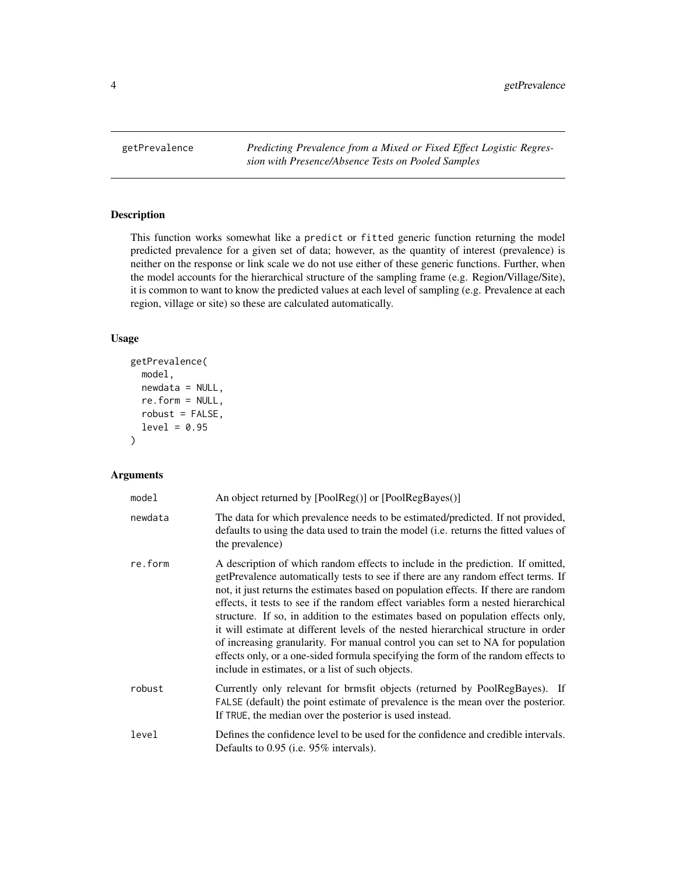<span id="page-3-1"></span><span id="page-3-0"></span>getPrevalence *Predicting Prevalence from a Mixed or Fixed Effect Logistic Regression with Presence/Absence Tests on Pooled Samples*

### Description

This function works somewhat like a predict or fitted generic function returning the model predicted prevalence for a given set of data; however, as the quantity of interest (prevalence) is neither on the response or link scale we do not use either of these generic functions. Further, when the model accounts for the hierarchical structure of the sampling frame (e.g. Region/Village/Site), it is common to want to know the predicted values at each level of sampling (e.g. Prevalence at each region, village or site) so these are calculated automatically.

### Usage

```
getPrevalence(
 model,
 newdata = NULL,re.form = NULL,
  robust = FALSE,level = 0.95)
```

| model   | An object returned by [PoolReg()] or [PoolRegBayes()]                                                                                                                                                                                                                                                                                                                                                                                                                                                                                                                                                                                                                                                                                                  |
|---------|--------------------------------------------------------------------------------------------------------------------------------------------------------------------------------------------------------------------------------------------------------------------------------------------------------------------------------------------------------------------------------------------------------------------------------------------------------------------------------------------------------------------------------------------------------------------------------------------------------------------------------------------------------------------------------------------------------------------------------------------------------|
| newdata | The data for which prevalence needs to be estimated/predicted. If not provided,<br>defaults to using the data used to train the model ( <i>i.e.</i> returns the fitted values of<br>the prevalence)                                                                                                                                                                                                                                                                                                                                                                                                                                                                                                                                                    |
| re.form | A description of which random effects to include in the prediction. If omitted,<br>getPrevalence automatically tests to see if there are any random effect terms. If<br>not, it just returns the estimates based on population effects. If there are random<br>effects, it tests to see if the random effect variables form a nested hierarchical<br>structure. If so, in addition to the estimates based on population effects only,<br>it will estimate at different levels of the nested hierarchical structure in order<br>of increasing granularity. For manual control you can set to NA for population<br>effects only, or a one-sided formula specifying the form of the random effects to<br>include in estimates, or a list of such objects. |
| robust  | Currently only relevant for brmsfit objects (returned by PoolRegBayes). If<br>FALSE (default) the point estimate of prevalence is the mean over the posterior.<br>If TRUE, the median over the posterior is used instead.                                                                                                                                                                                                                                                                                                                                                                                                                                                                                                                              |
| level   | Defines the confidence level to be used for the confidence and credible intervals.<br>Defaults to 0.95 (i.e. 95% intervals).                                                                                                                                                                                                                                                                                                                                                                                                                                                                                                                                                                                                                           |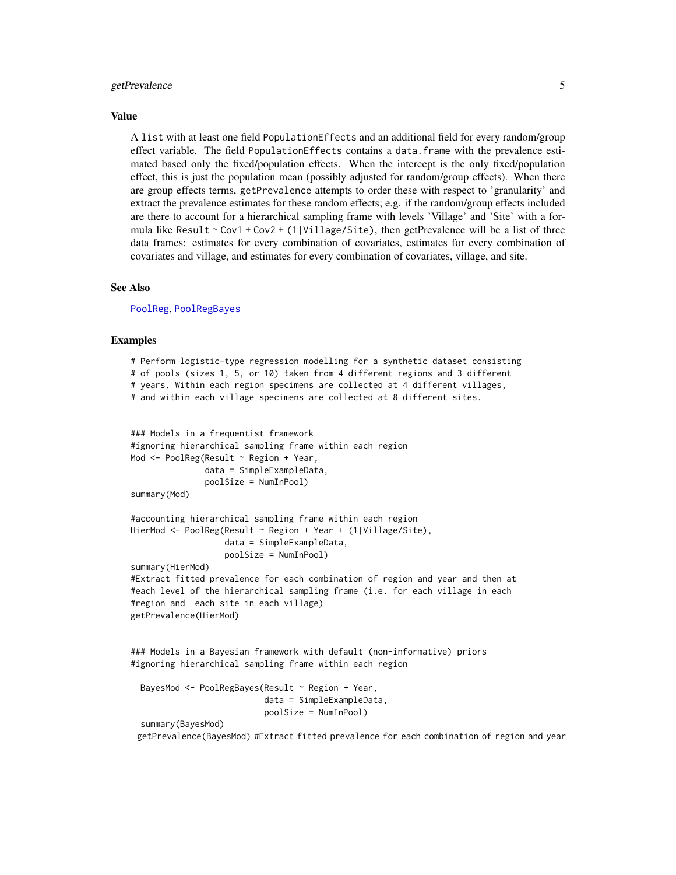### <span id="page-4-0"></span>getPrevalence 5

#### Value

A list with at least one field PopulationEffects and an additional field for every random/group effect variable. The field PopulationEffects contains a data.frame with the prevalence estimated based only the fixed/population effects. When the intercept is the only fixed/population effect, this is just the population mean (possibly adjusted for random/group effects). When there are group effects terms, getPrevalence attempts to order these with respect to 'granularity' and extract the prevalence estimates for these random effects; e.g. if the random/group effects included are there to account for a hierarchical sampling frame with levels 'Village' and 'Site' with a formula like Result  $\sim$  Cov1 + Cov2 + (1|Village/Site), then getPrevalence will be a list of three data frames: estimates for every combination of covariates, estimates for every combination of covariates and village, and estimates for every combination of covariates, village, and site.

### See Also

[PoolReg](#page-11-1), [PoolRegBayes](#page-14-1)

### Examples

```
# Perform logistic-type regression modelling for a synthetic dataset consisting
# of pools (sizes 1, 5, or 10) taken from 4 different regions and 3 different
# years. Within each region specimens are collected at 4 different villages,
# and within each village specimens are collected at 8 different sites.
### Models in a frequentist framework
#ignoring hierarchical sampling frame within each region
Mod <- PoolReg(Result ~ Region + Year,
              data = SimpleExampleData,
               poolSize = NumInPool)
summary(Mod)
#accounting hierarchical sampling frame within each region
HierMod <- PoolReg(Result ~ Region + Year + (1|Village/Site),
                   data = SimpleExampleData,
                   poolSize = NumInPool)
summary(HierMod)
#Extract fitted prevalence for each combination of region and year and then at
```

```
#each level of the hierarchical sampling frame (i.e. for each village in each
#region and each site in each village)
getPrevalence(HierMod)
```
### Models in a Bayesian framework with default (non-informative) priors #ignoring hierarchical sampling frame within each region

```
BayesMod <- PoolRegBayes(Result ~ Region + Year,
                         data = SimpleExampleData,
                         poolSize = NumInPool)
```
summary(BayesMod)

getPrevalence(BayesMod) #Extract fitted prevalence for each combination of region and year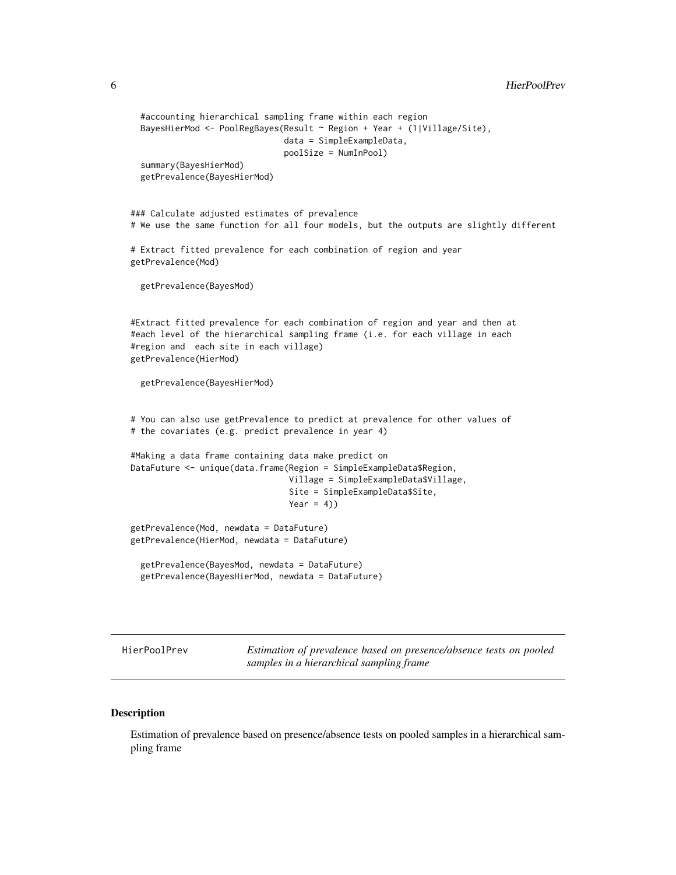```
6 HierPoolPrev
```

```
#accounting hierarchical sampling frame within each region
 BayesHierMod <- PoolRegBayes(Result ~ Region + Year + (1|Village/Site),
                               data = SimpleExampleData,
                               poolSize = NumInPool)
 summary(BayesHierMod)
 getPrevalence(BayesHierMod)
### Calculate adjusted estimates of prevalence
# We use the same function for all four models, but the outputs are slightly different
# Extract fitted prevalence for each combination of region and year
getPrevalence(Mod)
 getPrevalence(BayesMod)
#Extract fitted prevalence for each combination of region and year and then at
#each level of the hierarchical sampling frame (i.e. for each village in each
#region and each site in each village)
getPrevalence(HierMod)
 getPrevalence(BayesHierMod)
# You can also use getPrevalence to predict at prevalence for other values of
# the covariates (e.g. predict prevalence in year 4)
#Making a data frame containing data make predict on
DataFuture <- unique(data.frame(Region = SimpleExampleData$Region,
                                Village = SimpleExampleData$Village,
                                Site = SimpleExampleData$Site,
                                Year = 4))
getPrevalence(Mod, newdata = DataFuture)
getPrevalence(HierMod, newdata = DataFuture)
 getPrevalence(BayesMod, newdata = DataFuture)
 getPrevalence(BayesHierMod, newdata = DataFuture)
```
HierPoolPrev *Estimation of prevalence based on presence/absence tests on pooled samples in a hierarchical sampling frame*

#### Description

Estimation of prevalence based on presence/absence tests on pooled samples in a hierarchical sampling frame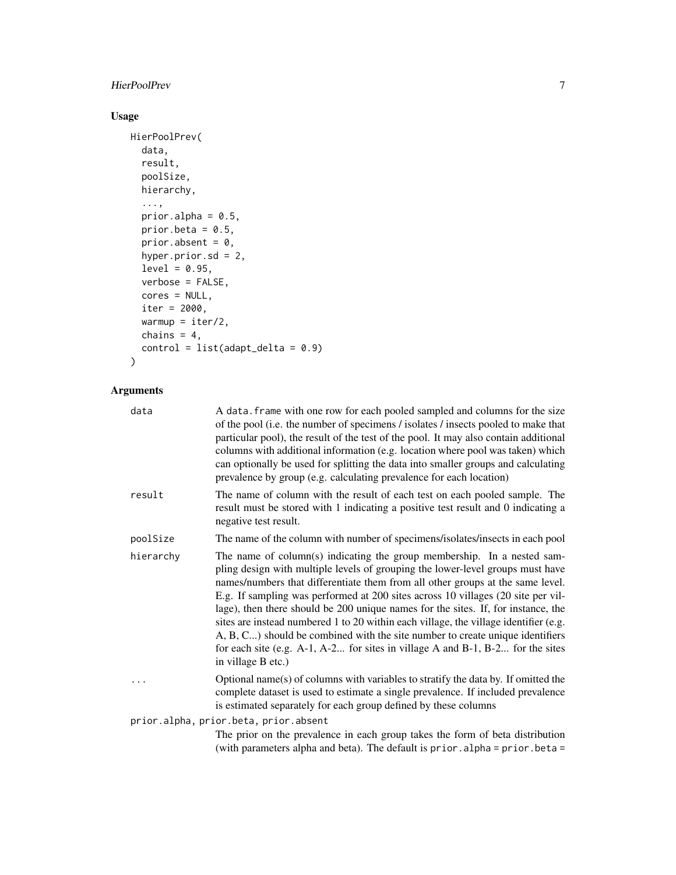### HierPoolPrev 7

### Usage

```
HierPoolPrev(
 data,
 result,
 poolSize,
 hierarchy,
  ...,
 prior.alpha = 0.5,
 prior.beta = 0.5,
 prior.absent = 0,
 hyper.prior.sd = 2,
 level = 0.95,verbose = FALSE,
 cores = NULL,
 iter = 2000,
 warmup = iter/2,
 chains = 4,
 control = list(adapt\_delta = 0.9))
```

| data      | A data. frame with one row for each pooled sampled and columns for the size<br>of the pool (i.e. the number of specimens / isolates / insects pooled to make that<br>particular pool), the result of the test of the pool. It may also contain additional<br>columns with additional information (e.g. location where pool was taken) which<br>can optionally be used for splitting the data into smaller groups and calculating<br>prevalence by group (e.g. calculating prevalence for each location)                                                                                                                                                                                                    |
|-----------|------------------------------------------------------------------------------------------------------------------------------------------------------------------------------------------------------------------------------------------------------------------------------------------------------------------------------------------------------------------------------------------------------------------------------------------------------------------------------------------------------------------------------------------------------------------------------------------------------------------------------------------------------------------------------------------------------------|
| result    | The name of column with the result of each test on each pooled sample. The<br>result must be stored with 1 indicating a positive test result and 0 indicating a<br>negative test result.                                                                                                                                                                                                                                                                                                                                                                                                                                                                                                                   |
| poolSize  | The name of the column with number of specimens/isolates/insects in each pool                                                                                                                                                                                                                                                                                                                                                                                                                                                                                                                                                                                                                              |
| hierarchy | The name of column(s) indicating the group membership. In a nested sam-<br>pling design with multiple levels of grouping the lower-level groups must have<br>names/numbers that differentiate them from all other groups at the same level.<br>E.g. If sampling was performed at 200 sites across 10 villages (20 site per vil-<br>lage), then there should be 200 unique names for the sites. If, for instance, the<br>sites are instead numbered 1 to 20 within each village, the village identifier (e.g.<br>A, B, C) should be combined with the site number to create unique identifiers<br>for each site (e.g. $A-1$ , $A-2$ for sites in village A and B-1, B-2 for the sites<br>in village B etc.) |
| .         | Optional name(s) of columns with variables to stratify the data by. If omitted the<br>complete dataset is used to estimate a single prevalence. If included prevalence<br>is estimated separately for each group defined by these columns                                                                                                                                                                                                                                                                                                                                                                                                                                                                  |
|           | prior.alpha, prior.beta, prior.absent                                                                                                                                                                                                                                                                                                                                                                                                                                                                                                                                                                                                                                                                      |
|           | The prior on the prevalence in each group takes the form of beta distribution<br>(with parameters alpha and beta). The default is prior. alpha = prior. beta =                                                                                                                                                                                                                                                                                                                                                                                                                                                                                                                                             |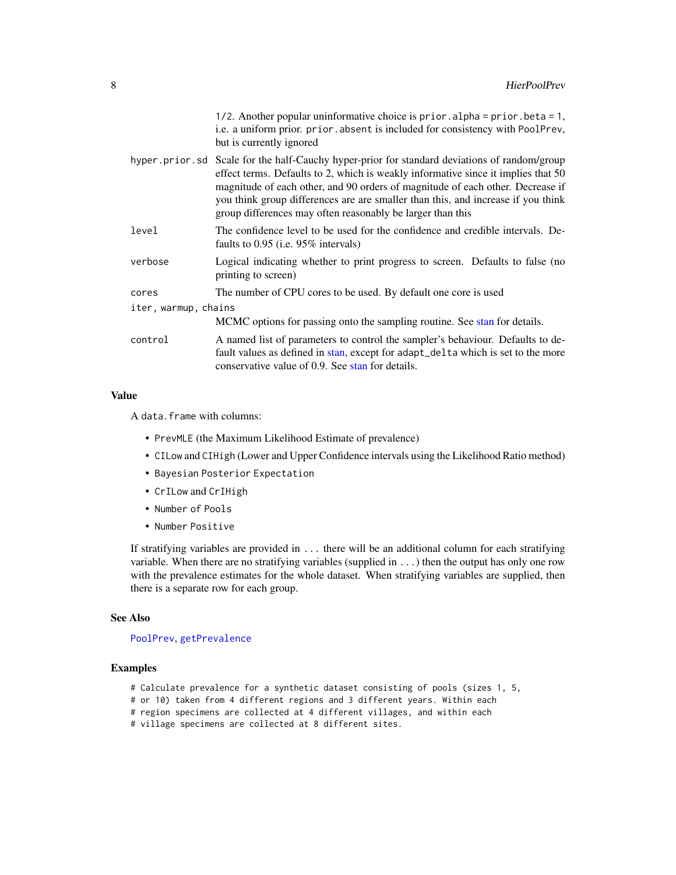1/2. Another popular uninformative choice is prior.alpha = prior.beta = 1, i.e. a uniform prior. prior. absent is included for consistency with PoolPrev, but is currently ignored

<span id="page-7-0"></span>

|         | hyper.prior.sd Scale for the half-Cauchy hyper-prior for standard deviations of random/group<br>effect terms. Defaults to 2, which is weakly informative since it implies that 50<br>magnitude of each other, and 90 orders of magnitude of each other. Decrease if<br>you think group differences are are smaller than this, and increase if you think<br>group differences may often reasonably be larger than this |
|---------|-----------------------------------------------------------------------------------------------------------------------------------------------------------------------------------------------------------------------------------------------------------------------------------------------------------------------------------------------------------------------------------------------------------------------|
| level   | The confidence level to be used for the confidence and credible intervals. De-<br>faults to $0.95$ (i.e. $95\%$ intervals)                                                                                                                                                                                                                                                                                            |
| verbose | Logical indicating whether to print progress to screen. Defaults to false (no<br>printing to screen)                                                                                                                                                                                                                                                                                                                  |
| cores   | The number of CPU cores to be used. By default one core is used                                                                                                                                                                                                                                                                                                                                                       |

iter, warmup, chains MCMC options for passing onto the sampling routine. See [stan](#page-0-0) for details. control A named list of parameters to control the sampler's behaviour. Defaults to default values as defined in [stan,](#page-0-0) except for adapt\_delta which is set to the more conservative value of 0.9. See [stan](#page-0-0) for details.

### Value

A data.frame with columns:

- PrevMLE (the Maximum Likelihood Estimate of prevalence)
- CILow and CIHigh (Lower and Upper Confidence intervals using the Likelihood Ratio method)
- Bayesian Posterior Expectation
- CrILow and CrIHigh
- Number of Pools
- Number Positive

If stratifying variables are provided in ... there will be an additional column for each stratifying variable. When there are no stratifying variables (supplied in ...) then the output has only one row with the prevalence estimates for the whole dataset. When stratifying variables are supplied, then there is a separate row for each group.

### See Also

#### [PoolPrev](#page-10-1), [getPrevalence](#page-3-1)

#### Examples

- # Calculate prevalence for a synthetic dataset consisting of pools (sizes 1, 5,
- # or 10) taken from 4 different regions and 3 different years. Within each
- # region specimens are collected at 4 different villages, and within each
- # village specimens are collected at 8 different sites.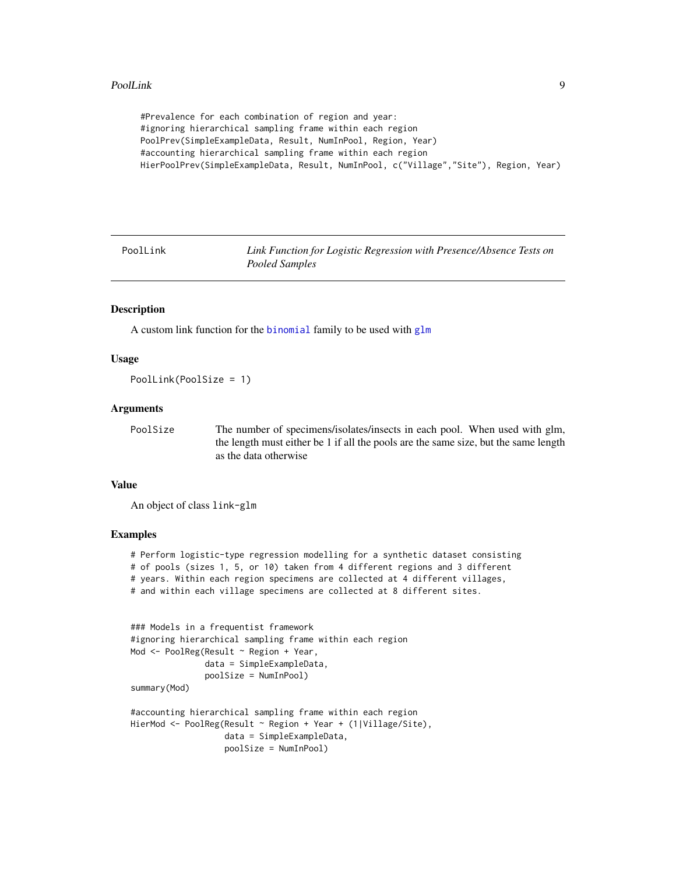### <span id="page-8-0"></span>PoolLink 9

```
#Prevalence for each combination of region and year:
#ignoring hierarchical sampling frame within each region
PoolPrev(SimpleExampleData, Result, NumInPool, Region, Year)
#accounting hierarchical sampling frame within each region
HierPoolPrev(SimpleExampleData, Result, NumInPool, c("Village","Site"), Region, Year)
```
PoolLink *Link Function for Logistic Regression with Presence/Absence Tests on Pooled Samples*

### Description

A custom link function for the [binomial](#page-0-0) family to be used with [glm](#page-0-0)

### Usage

PoolLink(PoolSize = 1)

### Arguments

PoolSize The number of specimens/isolates/insects in each pool. When used with glm, the length must either be 1 if all the pools are the same size, but the same length as the data otherwise

### Value

An object of class link-glm

### Examples

# Perform logistic-type regression modelling for a synthetic dataset consisting # of pools (sizes 1, 5, or 10) taken from 4 different regions and 3 different # years. Within each region specimens are collected at 4 different villages, # and within each village specimens are collected at 8 different sites.

```
### Models in a frequentist framework
#ignoring hierarchical sampling frame within each region
Mod <- PoolReg(Result ~ Region + Year,
               data = SimpleExampleData,
               poolSize = NumInPool)
summary(Mod)
#accounting hierarchical sampling frame within each region
HierMod <- PoolReg(Result ~ Region + Year + (1|Village/Site),
                   data = SimpleExampleData,
```
poolSize = NumInPool)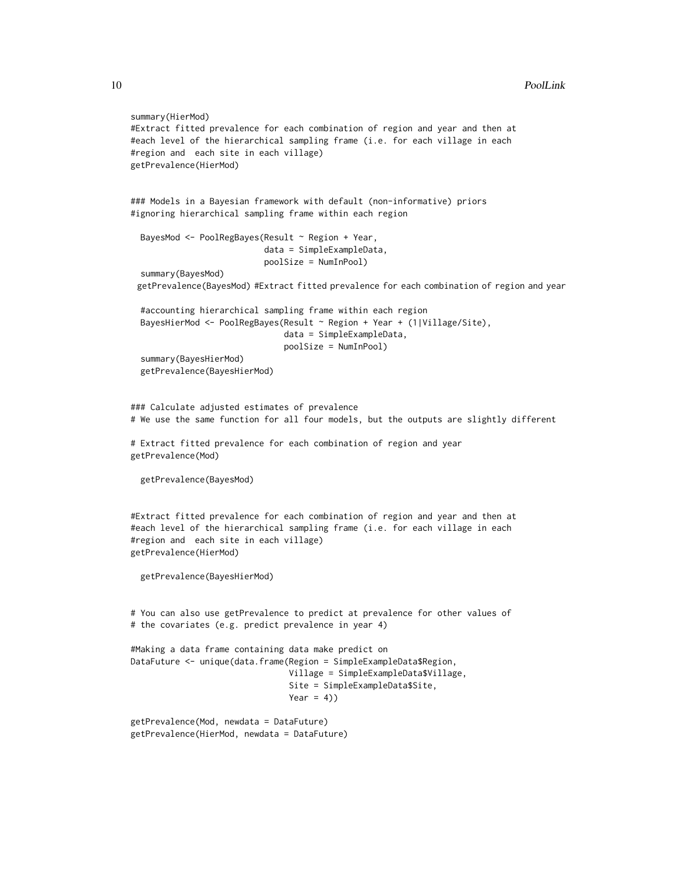### 10 PoolLink

```
summary(HierMod)
#Extract fitted prevalence for each combination of region and year and then at
#each level of the hierarchical sampling frame (i.e. for each village in each
#region and each site in each village)
getPrevalence(HierMod)
### Models in a Bayesian framework with default (non-informative) priors
#ignoring hierarchical sampling frame within each region
 BayesMod <- PoolRegBayes(Result ~ Region + Year,
                           data = SimpleExampleData,
                           poolSize = NumInPool)
  summary(BayesMod)
 getPrevalence(BayesMod) #Extract fitted prevalence for each combination of region and year
 #accounting hierarchical sampling frame within each region
 BayesHierMod <- PoolRegBayes(Result ~ Region + Year + (1|Village/Site),
                               data = SimpleExampleData,
                               poolSize = NumInPool)
 summary(BayesHierMod)
 getPrevalence(BayesHierMod)
### Calculate adjusted estimates of prevalence
# We use the same function for all four models, but the outputs are slightly different
# Extract fitted prevalence for each combination of region and year
getPrevalence(Mod)
 getPrevalence(BayesMod)
#Extract fitted prevalence for each combination of region and year and then at
#each level of the hierarchical sampling frame (i.e. for each village in each
#region and each site in each village)
getPrevalence(HierMod)
 getPrevalence(BayesHierMod)
# You can also use getPrevalence to predict at prevalence for other values of
# the covariates (e.g. predict prevalence in year 4)
#Making a data frame containing data make predict on
DataFuture <- unique(data.frame(Region = SimpleExampleData$Region,
                                Village = SimpleExampleData$Village,
                                Site = SimpleExampleData$Site,
                                Year = 4))
getPrevalence(Mod, newdata = DataFuture)
getPrevalence(HierMod, newdata = DataFuture)
```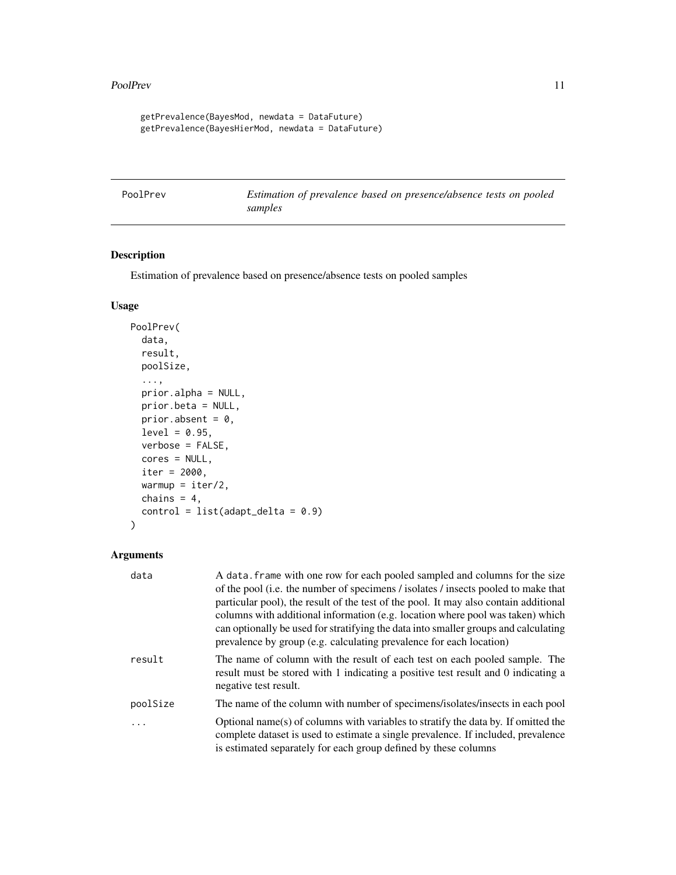#### <span id="page-10-0"></span>PoolPrev 11

```
getPrevalence(BayesMod, newdata = DataFuture)
getPrevalence(BayesHierMod, newdata = DataFuture)
```
<span id="page-10-1"></span>PoolPrev *Estimation of prevalence based on presence/absence tests on pooled samples*

### Description

Estimation of prevalence based on presence/absence tests on pooled samples

### Usage

```
PoolPrev(
  data,
  result,
 poolSize,
  ...,
 prior.alpha = NULL,
 prior.beta = NULL,
 prior.absent = 0,
  level = 0.95,verbose = FALSE,
 cores = NULL,
  iter = 2000,warmup = iter/2,
  chains = 4,
  control = list(adapt\_delta = 0.9))
```

| data     | A data. frame with one row for each pooled sampled and columns for the size                                                                                                                                                                |
|----------|--------------------------------------------------------------------------------------------------------------------------------------------------------------------------------------------------------------------------------------------|
|          | of the pool (i.e. the number of specimens / isolates / insects pooled to make that                                                                                                                                                         |
|          | particular pool), the result of the test of the pool. It may also contain additional                                                                                                                                                       |
|          | columns with additional information (e.g. location where pool was taken) which                                                                                                                                                             |
|          | can optionally be used for stratifying the data into smaller groups and calculating<br>prevalence by group (e.g. calculating prevalence for each location)                                                                                 |
| result   | The name of column with the result of each test on each pooled sample. The<br>result must be stored with 1 indicating a positive test result and 0 indicating a<br>negative test result.                                                   |
| poolSize | The name of the column with number of specimens/isolates/insects in each pool                                                                                                                                                              |
| $\ddots$ | Optional name(s) of columns with variables to stratify the data by. If omitted the<br>complete dataset is used to estimate a single prevalence. If included, prevalence<br>is estimated separately for each group defined by these columns |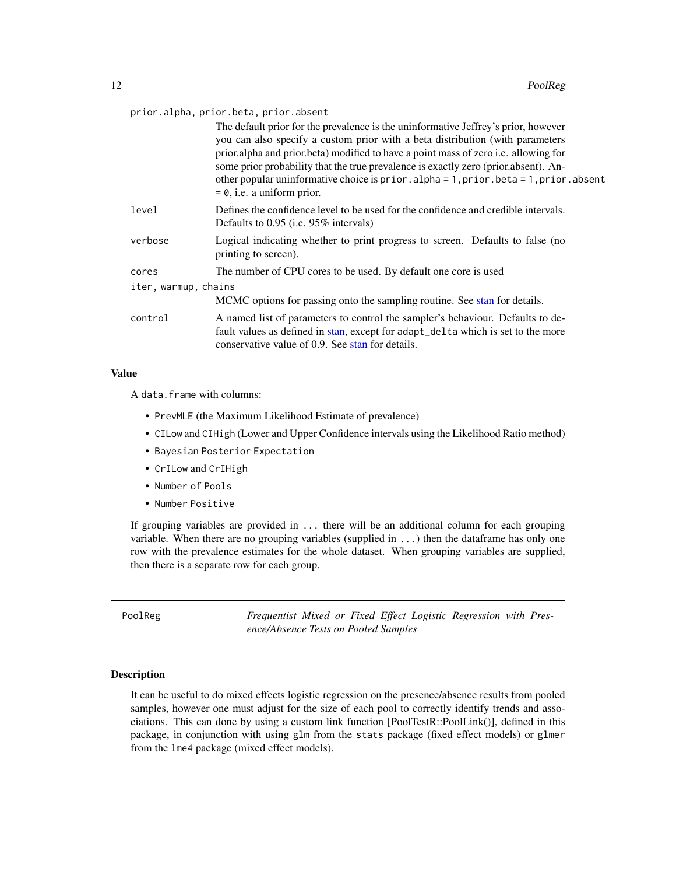<span id="page-11-0"></span>

| prior.alpha, prior.beta, prior.absent |  |  |  |
|---------------------------------------|--|--|--|
|---------------------------------------|--|--|--|

|                      | The default prior for the prevalence is the uninformative Jeffrey's prior, however<br>you can also specify a custom prior with a beta distribution (with parameters<br>prior.alpha and prior.beta) modified to have a point mass of zero i.e. allowing for<br>some prior probability that the true prevalence is exactly zero (prior.absent). An-<br>other popular uninformative choice is prior.alpha = 1, prior.beta = 1, prior.absent<br>$= 0$ , i.e. a uniform prior. |  |
|----------------------|---------------------------------------------------------------------------------------------------------------------------------------------------------------------------------------------------------------------------------------------------------------------------------------------------------------------------------------------------------------------------------------------------------------------------------------------------------------------------|--|
| level                | Defines the confidence level to be used for the confidence and credible intervals.<br>Defaults to 0.95 (i.e. 95% intervals)                                                                                                                                                                                                                                                                                                                                               |  |
| verbose              | Logical indicating whether to print progress to screen. Defaults to false (no<br>printing to screen).                                                                                                                                                                                                                                                                                                                                                                     |  |
| cores                | The number of CPU cores to be used. By default one core is used                                                                                                                                                                                                                                                                                                                                                                                                           |  |
| iter, warmup, chains |                                                                                                                                                                                                                                                                                                                                                                                                                                                                           |  |
|                      | MCMC options for passing onto the sampling routine. See stan for details.                                                                                                                                                                                                                                                                                                                                                                                                 |  |
| control              | A named list of parameters to control the sampler's behaviour. Defaults to de-<br>fault values as defined in stan, except for adapt_delta which is set to the more<br>conservative value of 0.9. See stan for details.                                                                                                                                                                                                                                                    |  |

### Value

A data.frame with columns:

- PrevMLE (the Maximum Likelihood Estimate of prevalence)
- CILow and CIHigh (Lower and Upper Confidence intervals using the Likelihood Ratio method)
- Bayesian Posterior Expectation
- CrILow and CrIHigh
- Number of Pools
- Number Positive

If grouping variables are provided in ... there will be an additional column for each grouping variable. When there are no grouping variables (supplied in ...) then the dataframe has only one row with the prevalence estimates for the whole dataset. When grouping variables are supplied, then there is a separate row for each group.

<span id="page-11-1"></span>PoolReg *Frequentist Mixed or Fixed Effect Logistic Regression with Presence/Absence Tests on Pooled Samples*

### Description

It can be useful to do mixed effects logistic regression on the presence/absence results from pooled samples, however one must adjust for the size of each pool to correctly identify trends and associations. This can done by using a custom link function [PoolTestR::PoolLink()], defined in this package, in conjunction with using glm from the stats package (fixed effect models) or glmer from the lme4 package (mixed effect models).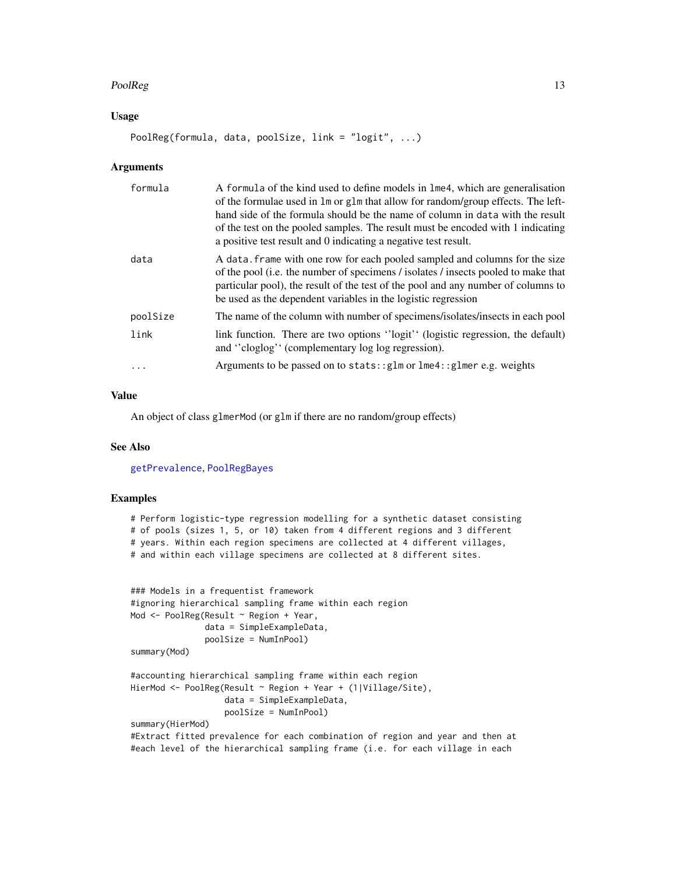### <span id="page-12-0"></span> $PoolReg$  and the set of the set of the set of the set of the set of the set of the set of the set of the set of the set of the set of the set of the set of the set of the set of the set of the set of the set of the set of th

### Usage

PoolReg(formula, data, poolSize, link = "logit", ...)

### Arguments

| formula  | A formula of the kind used to define models in lme4, which are generalisation<br>of the formulae used in 1m or g1m that allow for random/group effects. The left-<br>hand side of the formula should be the name of column in data with the result<br>of the test on the pooled samples. The result must be encoded with 1 indicating<br>a positive test result and 0 indicating a negative test result. |
|----------|----------------------------------------------------------------------------------------------------------------------------------------------------------------------------------------------------------------------------------------------------------------------------------------------------------------------------------------------------------------------------------------------------------|
| data     | A data. frame with one row for each pooled sampled and columns for the size<br>of the pool (i.e. the number of specimens / isolates / insects pooled to make that<br>particular pool), the result of the test of the pool and any number of columns to<br>be used as the dependent variables in the logistic regression                                                                                  |
| poolSize | The name of the column with number of specimens/isolates/insects in each pool                                                                                                                                                                                                                                                                                                                            |
| link     | link function. There are two options "logit" (logistic regression, the default)<br>and "cloglog" (complementary log log regression).                                                                                                                                                                                                                                                                     |
| .        | Arguments to be passed on to stats:: glm or lme4:: glmer e.g. weights                                                                                                                                                                                                                                                                                                                                    |

### Value

An object of class glmerMod (or glm if there are no random/group effects)

### See Also

[getPrevalence](#page-3-1), [PoolRegBayes](#page-14-1)

### Examples

```
# Perform logistic-type regression modelling for a synthetic dataset consisting
# of pools (sizes 1, 5, or 10) taken from 4 different regions and 3 different
# years. Within each region specimens are collected at 4 different villages,
# and within each village specimens are collected at 8 different sites.
```

```
### Models in a frequentist framework
#ignoring hierarchical sampling frame within each region
Mod <- PoolReg(Result ~ Region + Year,
               data = SimpleExampleData,
               poolSize = NumInPool)
summary(Mod)
#accounting hierarchical sampling frame within each region
HierMod <- PoolReg(Result ~ Region + Year + (1|Village/Site),
                   data = SimpleExampleData,
                   poolSize = NumInPool)
summary(HierMod)
#Extract fitted prevalence for each combination of region and year and then at
```
#each level of the hierarchical sampling frame (i.e. for each village in each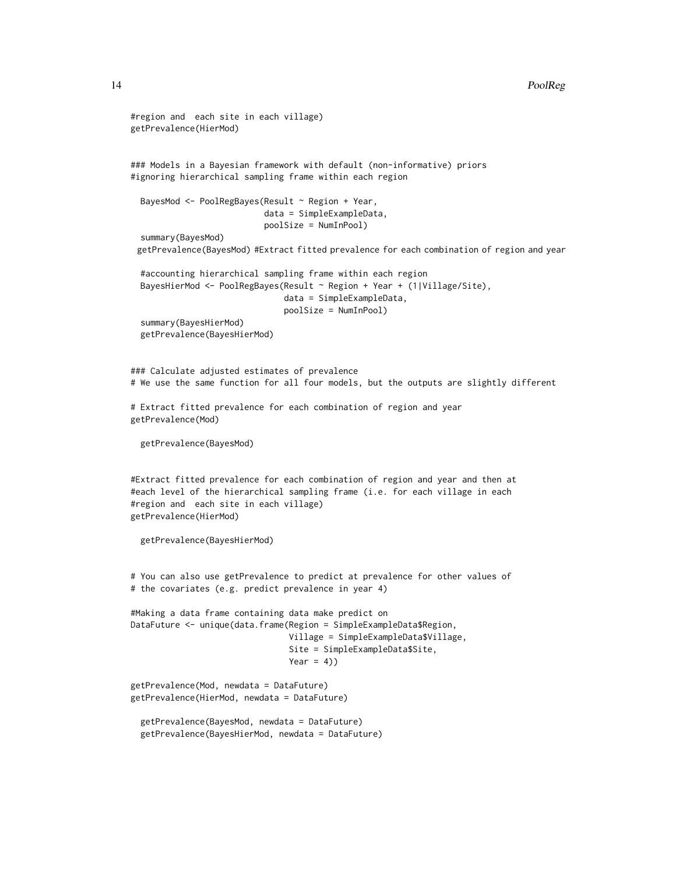### 14 PoolReg

```
#region and each site in each village)
getPrevalence(HierMod)
### Models in a Bayesian framework with default (non-informative) priors
#ignoring hierarchical sampling frame within each region
 BayesMod <- PoolRegBayes(Result ~ Region + Year,
                           data = SimpleExampleData,
                           poolSize = NumInPool)
 summary(BayesMod)
 getPrevalence(BayesMod) #Extract fitted prevalence for each combination of region and year
  #accounting hierarchical sampling frame within each region
 BayesHierMod <- PoolRegBayes(Result ~ Region + Year + (1|Village/Site),
                               data = SimpleExampleData,
                               poolSize = NumInPool)
 summary(BayesHierMod)
 getPrevalence(BayesHierMod)
### Calculate adjusted estimates of prevalence
# We use the same function for all four models, but the outputs are slightly different
# Extract fitted prevalence for each combination of region and year
getPrevalence(Mod)
 getPrevalence(BayesMod)
#Extract fitted prevalence for each combination of region and year and then at
#each level of the hierarchical sampling frame (i.e. for each village in each
#region and each site in each village)
getPrevalence(HierMod)
 getPrevalence(BayesHierMod)
# You can also use getPrevalence to predict at prevalence for other values of
# the covariates (e.g. predict prevalence in year 4)
#Making a data frame containing data make predict on
DataFuture <- unique(data.frame(Region = SimpleExampleData$Region,
                                Village = SimpleExampleData$Village,
                                Site = SimpleExampleData$Site,
                                Year = 4)getPrevalence(Mod, newdata = DataFuture)
getPrevalence(HierMod, newdata = DataFuture)
 getPrevalence(BayesMod, newdata = DataFuture)
 getPrevalence(BayesHierMod, newdata = DataFuture)
```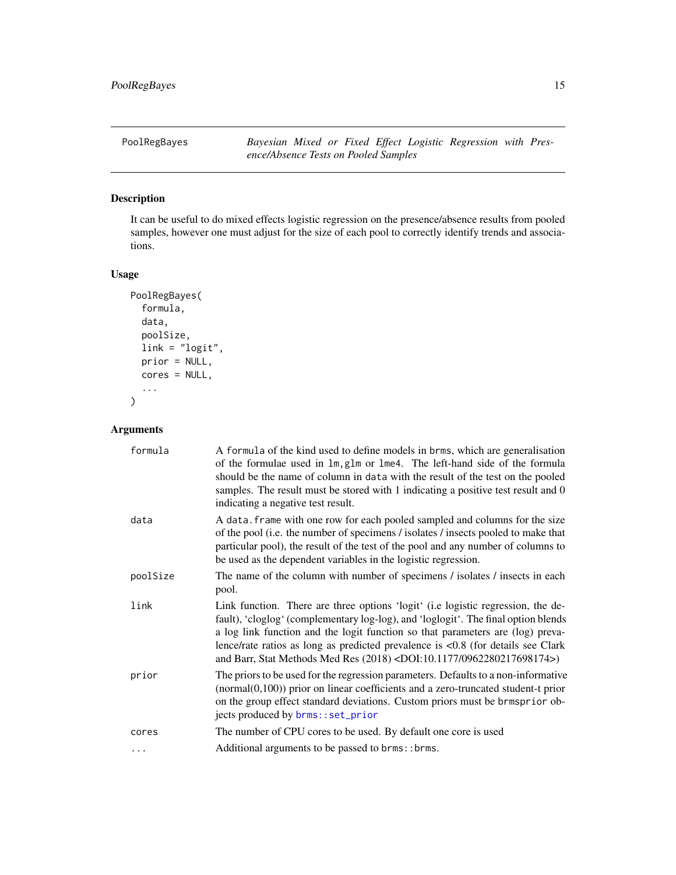<span id="page-14-1"></span><span id="page-14-0"></span>PoolRegBayes *Bayesian Mixed or Fixed Effect Logistic Regression with Presence/Absence Tests on Pooled Samples*

### Description

It can be useful to do mixed effects logistic regression on the presence/absence results from pooled samples, however one must adjust for the size of each pool to correctly identify trends and associations.

### Usage

```
PoolRegBayes(
  formula,
  data,
  poolSize,
  link = "logit",
  prior = NULL,
  cores = NULL,
  ...
\overline{\phantom{a}}
```

| formula  | A formula of the kind used to define models in brms, which are generalisation<br>of the formulae used in lm, glm or lme4. The left-hand side of the formula<br>should be the name of column in data with the result of the test on the pooled<br>samples. The result must be stored with 1 indicating a positive test result and 0<br>indicating a negative test result.                                                                  |
|----------|-------------------------------------------------------------------------------------------------------------------------------------------------------------------------------------------------------------------------------------------------------------------------------------------------------------------------------------------------------------------------------------------------------------------------------------------|
| data     | A data. frame with one row for each pooled sampled and columns for the size<br>of the pool (i.e. the number of specimens / isolates / insects pooled to make that<br>particular pool), the result of the test of the pool and any number of columns to<br>be used as the dependent variables in the logistic regression.                                                                                                                  |
| poolSize | The name of the column with number of specimens / isolates / insects in each<br>pool.                                                                                                                                                                                                                                                                                                                                                     |
| link     | Link function. There are three options 'logit' (i.e logistic regression, the de-<br>fault), 'cloglog' (complementary log-log), and 'loglogit'. The final option blends<br>a log link function and the logit function so that parameters are (log) preva-<br>lence/rate ratios as long as predicted prevalence is $< 0.8$ (for details see Clark<br>and Barr, Stat Methods Med Res (2018) <doi:10.1177 0962280217698174="">)</doi:10.1177> |
| prior    | The priors to be used for the regression parameters. Defaults to a non-informative<br>$(normal(0,100))$ prior on linear coefficients and a zero-truncated student-t prior<br>on the group effect standard deviations. Custom priors must be brmsprior ob-<br>jects produced by brms::set_prior                                                                                                                                            |
| cores    | The number of CPU cores to be used. By default one core is used                                                                                                                                                                                                                                                                                                                                                                           |
| $\cdots$ | Additional arguments to be passed to brms::brms.                                                                                                                                                                                                                                                                                                                                                                                          |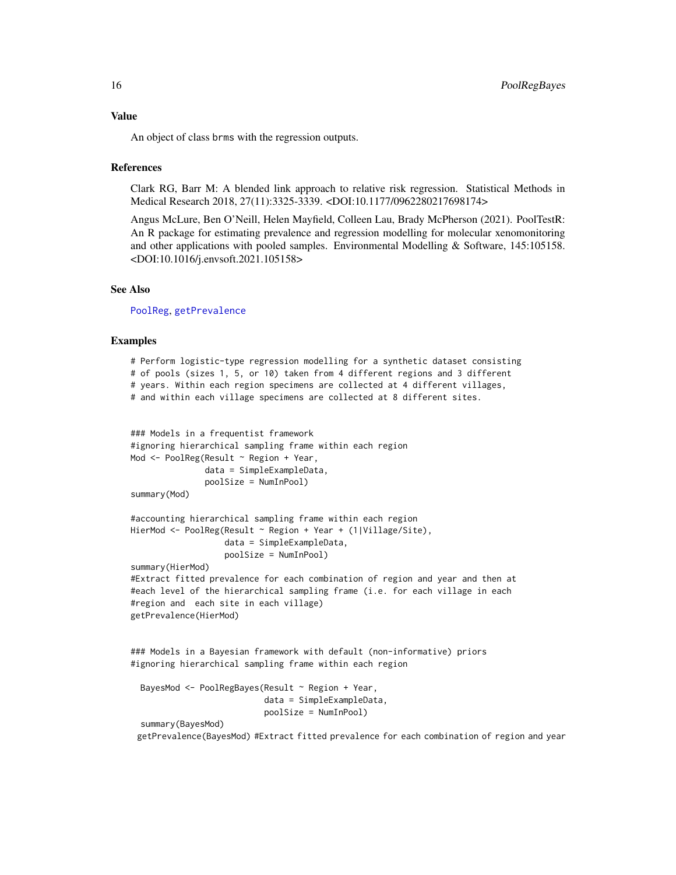### <span id="page-15-0"></span>Value

An object of class brms with the regression outputs.

### **References**

Clark RG, Barr M: A blended link approach to relative risk regression. Statistical Methods in Medical Research 2018, 27(11):3325-3339. <DOI:10.1177/0962280217698174>

Angus McLure, Ben O'Neill, Helen Mayfield, Colleen Lau, Brady McPherson (2021). PoolTestR: An R package for estimating prevalence and regression modelling for molecular xenomonitoring and other applications with pooled samples. Environmental Modelling & Software, 145:105158. <DOI:10.1016/j.envsoft.2021.105158>

### See Also

[PoolReg](#page-11-1), [getPrevalence](#page-3-1)

### Examples

```
# Perform logistic-type regression modelling for a synthetic dataset consisting
# of pools (sizes 1, 5, or 10) taken from 4 different regions and 3 different
# years. Within each region specimens are collected at 4 different villages,
# and within each village specimens are collected at 8 different sites.
### Models in a frequentist framework
#ignoring hierarchical sampling frame within each region
Mod <- PoolReg(Result ~ Region + Year,
              data = SimpleExampleData,
              poolSize = NumInPool)
summary(Mod)
#accounting hierarchical sampling frame within each region
HierMod <- PoolReg(Result ~ Region + Year + (1|Village/Site),
                   data = SimpleExampleData,
                   poolSize = NumInPool)
summary(HierMod)
#Extract fitted prevalence for each combination of region and year and then at
#each level of the hierarchical sampling frame (i.e. for each village in each
#region and each site in each village)
getPrevalence(HierMod)
### Models in a Bayesian framework with default (non-informative) priors
#ignoring hierarchical sampling frame within each region
 BayesMod <- PoolRegBayes(Result ~ Region + Year,
```

```
data = SimpleExampleData,
                         poolSize = NumInPool)
summary(BayesMod)
```
getPrevalence(BayesMod) #Extract fitted prevalence for each combination of region and year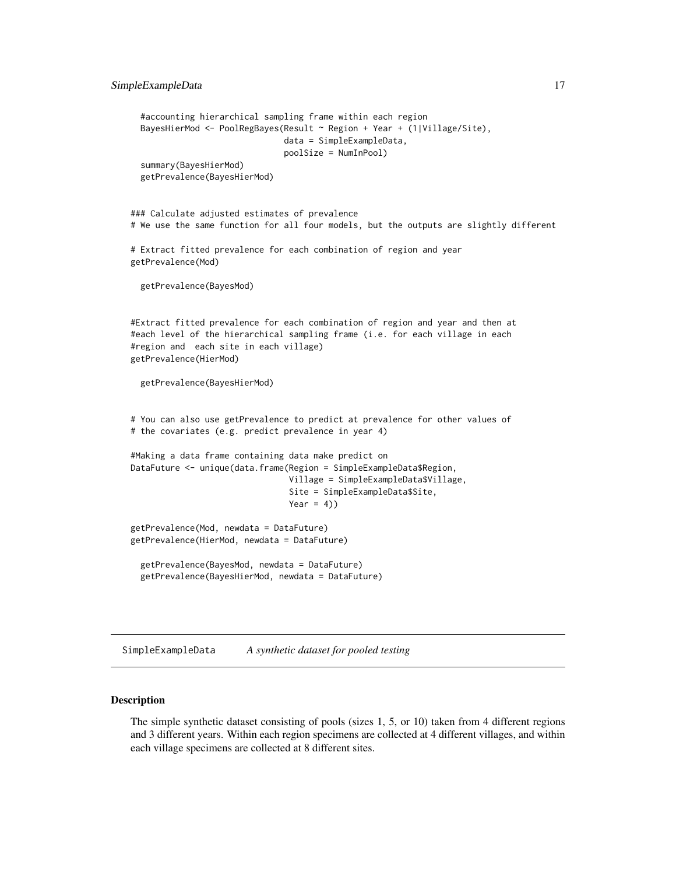```
#accounting hierarchical sampling frame within each region
 BayesHierMod <- PoolRegBayes(Result ~ Region + Year + (1|Village/Site),
                               data = SimpleExampleData,
                               poolSize = NumInPool)
 summary(BayesHierMod)
 getPrevalence(BayesHierMod)
### Calculate adjusted estimates of prevalence
# We use the same function for all four models, but the outputs are slightly different
# Extract fitted prevalence for each combination of region and year
getPrevalence(Mod)
 getPrevalence(BayesMod)
#Extract fitted prevalence for each combination of region and year and then at
#each level of the hierarchical sampling frame (i.e. for each village in each
#region and each site in each village)
getPrevalence(HierMod)
 getPrevalence(BayesHierMod)
# You can also use getPrevalence to predict at prevalence for other values of
# the covariates (e.g. predict prevalence in year 4)
#Making a data frame containing data make predict on
DataFuture <- unique(data.frame(Region = SimpleExampleData$Region,
                                Village = SimpleExampleData$Village,
                                Site = SimpleExampleData$Site,
                                Year = 4))
getPrevalence(Mod, newdata = DataFuture)
getPrevalence(HierMod, newdata = DataFuture)
 getPrevalence(BayesMod, newdata = DataFuture)
 getPrevalence(BayesHierMod, newdata = DataFuture)
```
SimpleExampleData *A synthetic dataset for pooled testing*

### **Description**

The simple synthetic dataset consisting of pools (sizes 1, 5, or 10) taken from 4 different regions and 3 different years. Within each region specimens are collected at 4 different villages, and within each village specimens are collected at 8 different sites.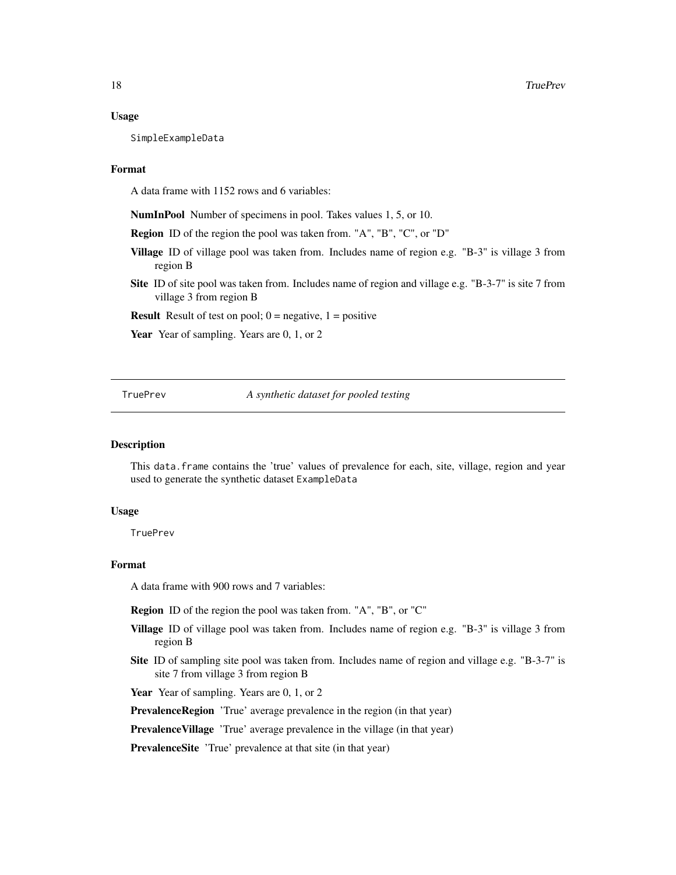### <span id="page-17-0"></span>Usage

SimpleExampleData

### Format

A data frame with 1152 rows and 6 variables:

NumInPool Number of specimens in pool. Takes values 1, 5, or 10.

Region ID of the region the pool was taken from. "A", "B", "C", or "D"

- Village ID of village pool was taken from. Includes name of region e.g. "B-3" is village 3 from region B
- Site ID of site pool was taken from. Includes name of region and village e.g. "B-3-7" is site 7 from village 3 from region B

**Result** Result of test on pool;  $0 =$  negative,  $1 =$  positive

Year Year of sampling. Years are 0, 1, or 2

TruePrev *A synthetic dataset for pooled testing*

### Description

This data.frame contains the 'true' values of prevalence for each, site, village, region and year used to generate the synthetic dataset ExampleData

### Usage

**TruePrev** 

### Format

A data frame with 900 rows and 7 variables:

Region ID of the region the pool was taken from. "A", "B", or "C"

- Village ID of village pool was taken from. Includes name of region e.g. "B-3" is village 3 from region B
- Site ID of sampling site pool was taken from. Includes name of region and village e.g. "B-3-7" is site 7 from village 3 from region B

Year Year of sampling. Years are 0, 1, or 2

**PrevalenceRegion** 'True' average prevalence in the region (in that year)

PrevalenceVillage 'True' average prevalence in the village (in that year)

PrevalenceSite 'True' prevalence at that site (in that year)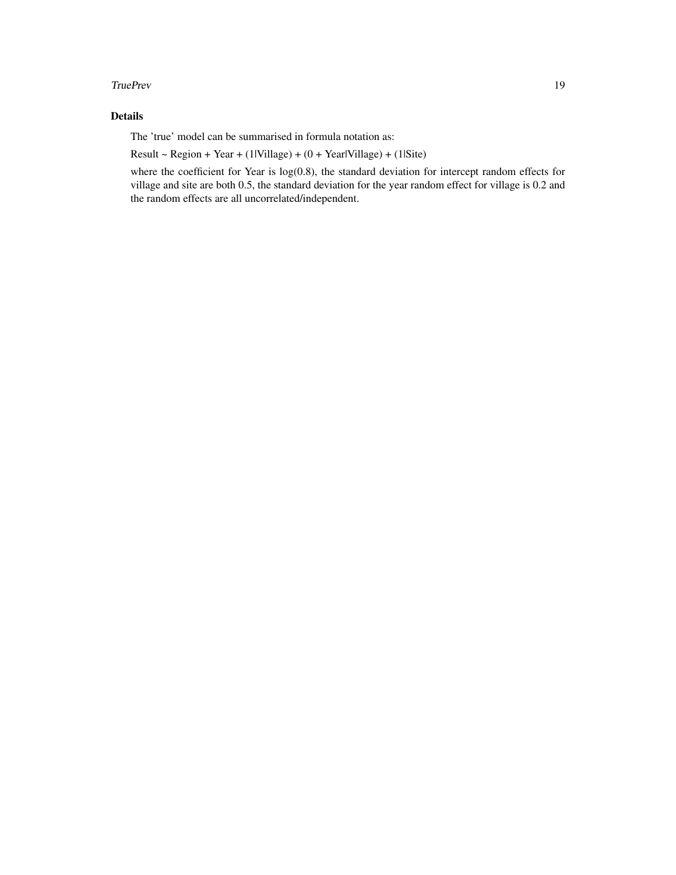### TruePrev 19

### Details

The 'true' model can be summarised in formula notation as:

 $Result - Region + Year + (1|Village) + (0 + YearVillage) + (1|Size)$ 

where the coefficient for Year is log(0.8), the standard deviation for intercept random effects for village and site are both 0.5, the standard deviation for the year random effect for village is 0.2 and the random effects are all uncorrelated/independent.